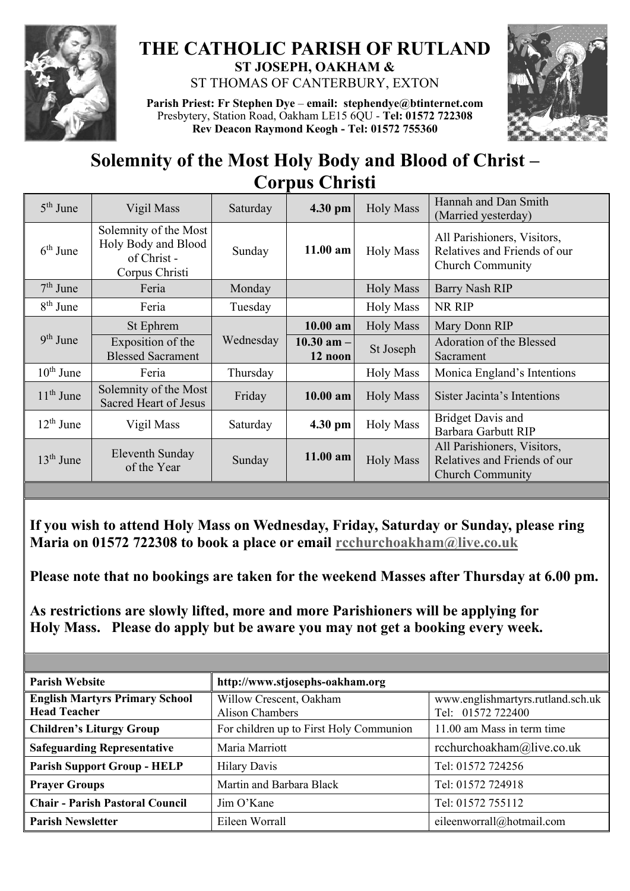

## **THE CATHOLIC PARISH OF RUTLAND ST JOSEPH, OAKHAM &**

ST THOMAS OF CANTERBURY, EXTON

**Parish Priest: Fr Stephen Dye** – **[email: stephendye@btinternet.com](mailto:email:%20%20stephendye@btinternet.com)** Presbytery, Station Road, Oakham LE15 6QU - **Tel: 01572 722308 Rev Deacon Raymond Keogh - Tel: 01572 755360**



## **Solemnity of the Most Holy Body and Blood of Christ – Corpus Christi**

|                       | Vigil Mass                                                                    | Saturday  | 4.30 pm                   | <b>Holy Mass</b> | Hannah and Dan Smith<br>(Married yesterday)                                            |
|-----------------------|-------------------------------------------------------------------------------|-----------|---------------------------|------------------|----------------------------------------------------------------------------------------|
| $6th$ June            | Solemnity of the Most<br>Holy Body and Blood<br>of Christ -<br>Corpus Christi | Sunday    | $11.00$ am                | <b>Holy Mass</b> | All Parishioners, Visitors,<br>Relatives and Friends of our<br><b>Church Community</b> |
| $7th$ June            | Feria                                                                         | Monday    |                           | <b>Holy Mass</b> | <b>Barry Nash RIP</b>                                                                  |
| $8th$ June            | Feria                                                                         | Tuesday   |                           | <b>Holy Mass</b> | NR RIP                                                                                 |
| $9th$ June            | St Ephrem                                                                     | Wednesday | $10.00$ am                | <b>Holy Mass</b> | Mary Donn RIP                                                                          |
|                       | Exposition of the<br><b>Blessed Sacrament</b>                                 |           | $10.30$ am $-$<br>12 noon | St Joseph        | Adoration of the Blessed<br>Sacrament                                                  |
| $10^{\text{th}}$ June | Feria                                                                         | Thursday  |                           | <b>Holy Mass</b> | Monica England's Intentions                                                            |
| $11th$ June           | Solemnity of the Most<br><b>Sacred Heart of Jesus</b>                         | Friday    | $10.00$ am                | <b>Holy Mass</b> | Sister Jacinta's Intentions                                                            |
| $12th$ June           | Vigil Mass                                                                    | Saturday  | 4.30 pm                   | <b>Holy Mass</b> | <b>Bridget Davis and</b><br>Barbara Garbutt RIP                                        |
| $13th$ June           | Eleventh Sunday<br>of the Year                                                | Sunday    | $11.00$ am                | <b>Holy Mass</b> | All Parishioners, Visitors,<br>Relatives and Friends of our<br><b>Church Community</b> |

**If you wish to attend Holy Mass on Wednesday, Friday, Saturday or Sunday, please ring Maria on 01572 722308 to book a place or email [rcchurchoakham@live.co.uk](mailto:rcchurchoakham@live.co.uk)**

**Please note that no bookings are taken for the weekend Masses after Thursday at 6.00 pm.**

**As restrictions are slowly lifted, more and more Parishioners will be applying for Holy Mass. Please do apply but be aware you may not get a booking every week.**

| <b>Parish Website</b>                                        | http://www.stjosephs-oakham.org                   |                                                        |  |  |
|--------------------------------------------------------------|---------------------------------------------------|--------------------------------------------------------|--|--|
| <b>English Martyrs Primary School</b><br><b>Head Teacher</b> | Willow Crescent, Oakham<br><b>Alison Chambers</b> | www.englishmartyrs.rutland.sch.uk<br>Tel: 01572 722400 |  |  |
| <b>Children's Liturgy Group</b>                              | For children up to First Holy Communion           | 11.00 am Mass in term time                             |  |  |
| <b>Safeguarding Representative</b>                           | Maria Marriott                                    | rcchurchoakham@live.co.uk                              |  |  |
| <b>Parish Support Group - HELP</b>                           | <b>Hilary Davis</b>                               | Tel: 01572 724256                                      |  |  |
| <b>Prayer Groups</b>                                         | Martin and Barbara Black                          | Tel: 01572 724918                                      |  |  |
| <b>Chair - Parish Pastoral Council</b>                       | Jim O'Kane                                        | Tel: 01572 755112                                      |  |  |
| <b>Parish Newsletter</b>                                     | Eileen Worrall                                    | eileenworrall@hotmail.com                              |  |  |